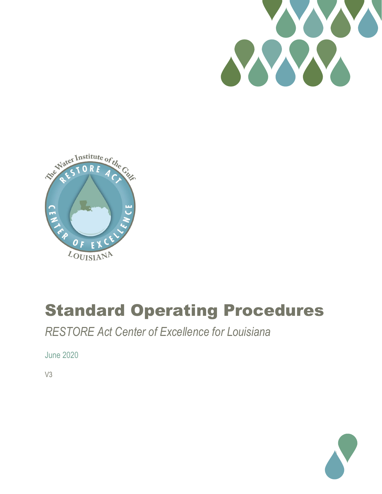



# Standard Operating Procedures

### *RESTORE Act Center of Excellence for Louisiana*

June 2020

V3

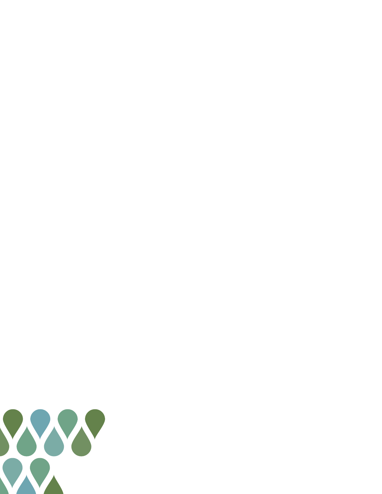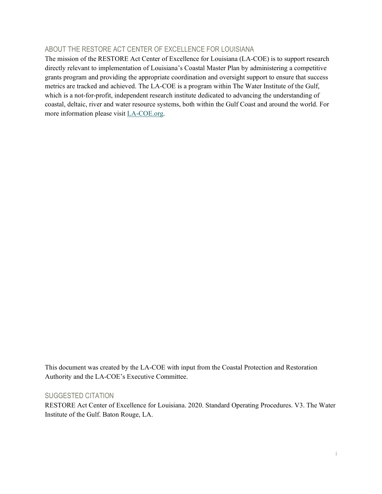#### ABOUT THE RESTORE ACT CENTER OF EXCELLENCE FOR LOUISIANA

The mission of the RESTORE Act Center of Excellence for Louisiana (LA-COE) is to support research directly relevant to implementation of Louisiana's Coastal Master Plan by administering a competitive grants program and providing the appropriate coordination and oversight support to ensure that success metrics are tracked and achieved. The LA-COE is a program within The Water Institute of the Gulf, which is a not-for-profit, independent research institute dedicated to advancing the understanding of coastal, deltaic, river and water resource systems, both within the Gulf Coast and around the world. For more information please visit [LA-COE.org.](http://www.la-coe.org/)

This document was created by the LA-COE with input from the Coastal Protection and Restoration Authority and the LA-COE's Executive Committee.

#### SUGGESTED CITATION

RESTORE Act Center of Excellence for Louisiana. 2020. Standard Operating Procedures. V3. The Water Institute of the Gulf. Baton Rouge, LA.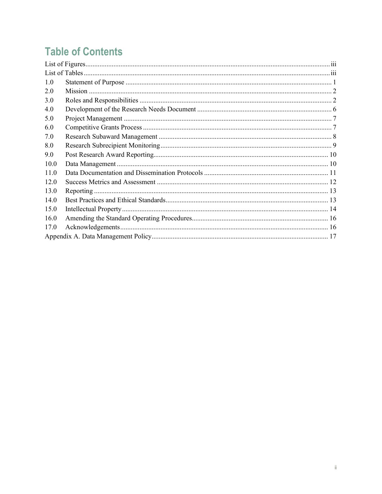## **Table of Contents**

| 1.0  |  |  |  |
|------|--|--|--|
| 2.0  |  |  |  |
| 3.0  |  |  |  |
| 4.0  |  |  |  |
| 5.0  |  |  |  |
| 6.0  |  |  |  |
| 7.0  |  |  |  |
| 8.0  |  |  |  |
| 9.0  |  |  |  |
| 10.0 |  |  |  |
| 11.0 |  |  |  |
| 12.0 |  |  |  |
| 13.0 |  |  |  |
| 14.0 |  |  |  |
| 15.0 |  |  |  |
| 16.0 |  |  |  |
| 17.0 |  |  |  |
|      |  |  |  |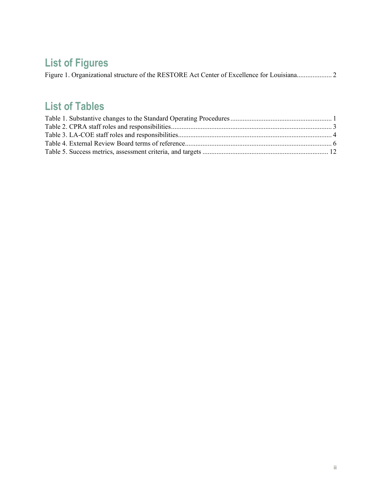### **List of Figures**

|  |  |  |  | Figure 1. Organizational structure of the RESTORE Act Center of Excellence for Louisiana 2 |
|--|--|--|--|--------------------------------------------------------------------------------------------|
|  |  |  |  |                                                                                            |

### **List of Tables**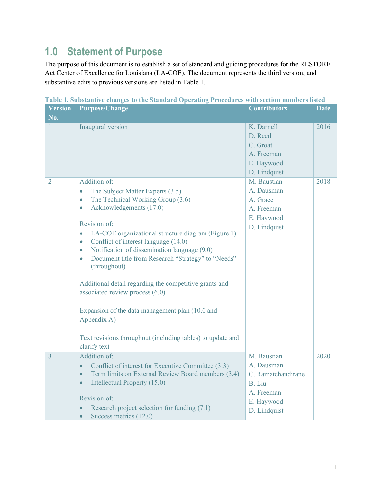### **1.0 Statement of Purpose**

The purpose of this document is to establish a set of standard and guiding procedures for the RESTORE Act Center of Excellence for Louisiana (LA-COE). The document represents the third version, and substantive edits to previous versions are listed in [Table 1.](#page-5-0)

| <b>Version</b>          | <b>Purpose/Change</b>                                                           | <b>Contributors</b> | <b>Date</b> |
|-------------------------|---------------------------------------------------------------------------------|---------------------|-------------|
| No.                     |                                                                                 |                     |             |
| $\mathbf{1}$            | Inaugural version                                                               | K. Darnell          | 2016        |
|                         |                                                                                 | D. Reed             |             |
|                         |                                                                                 | C. Groat            |             |
|                         |                                                                                 | A. Freeman          |             |
|                         |                                                                                 | E. Haywood          |             |
|                         |                                                                                 | D. Lindquist        |             |
| 2                       | Addition of:                                                                    | M. Baustian         | 2018        |
|                         | The Subject Matter Experts (3.5)<br>$\bullet$                                   | A. Dausman          |             |
|                         | The Technical Working Group (3.6)<br>$\bullet$                                  | A. Grace            |             |
|                         | Acknowledgements (17.0)<br>$\bullet$                                            | A. Freeman          |             |
|                         |                                                                                 | E. Haywood          |             |
|                         | Revision of:                                                                    | D. Lindquist        |             |
|                         | LA-COE organizational structure diagram (Figure 1)<br>$\bullet$                 |                     |             |
|                         | Conflict of interest language (14.0)<br>$\bullet$                               |                     |             |
|                         | Notification of dissemination language (9.0)<br>$\bullet$                       |                     |             |
|                         | Document title from Research "Strategy" to "Needs"<br>$\bullet$<br>(throughout) |                     |             |
|                         | Additional detail regarding the competitive grants and                          |                     |             |
|                         | associated review process (6.0)                                                 |                     |             |
|                         | Expansion of the data management plan (10.0 and                                 |                     |             |
|                         | Appendix A)                                                                     |                     |             |
|                         | Text revisions throughout (including tables) to update and                      |                     |             |
|                         | clarify text                                                                    |                     |             |
| $\overline{\mathbf{3}}$ | Addition of:                                                                    | M. Baustian         | 2020        |
|                         | Conflict of interest for Executive Committee (3.3)<br>$\bullet$                 | A. Dausman          |             |
|                         | Term limits on External Review Board members (3.4)<br>$\bullet$                 | C. Ramatchandirane  |             |
|                         | Intellectual Property (15.0)<br>$\bullet$                                       | B. Liu              |             |
|                         |                                                                                 | A. Freeman          |             |
|                         | Revision of:                                                                    | E. Haywood          |             |
|                         | Research project selection for funding (7.1)<br>$\bullet$                       | D. Lindquist        |             |
|                         | Success metrics (12.0)<br>$\bullet$                                             |                     |             |

<span id="page-5-0"></span>**Table 1. Substantive changes to the Standard Operating Procedures with section numbers listed**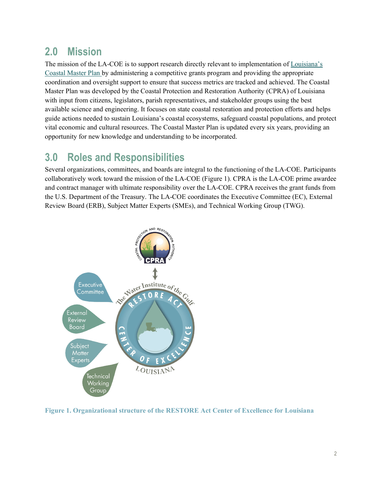### **2.0 Mission**

The mission of the LA-COE is to support research directly relevant to implementation of [Louisiana's](http://coastal.la.gov/our-plan/2017-coastal-master-plan/)  [Coastal Master Plan](http://coastal.la.gov/our-plan/2017-coastal-master-plan/) by administering a competitive grants program and providing the appropriate coordination and oversight support to ensure that success metrics are tracked and achieved. The Coastal Master Plan was developed by the Coastal Protection and Restoration Authority (CPRA) of Louisiana with input from citizens, legislators, parish representatives, and stakeholder groups using the best available science and engineering. It focuses on state coastal restoration and protection efforts and helps guide actions needed to sustain Louisiana's coastal ecosystems, safeguard coastal populations, and protect vital economic and cultural resources. The Coastal Master Plan is updated every six years, providing an opportunity for new knowledge and understanding to be incorporated.

### <span id="page-6-1"></span>**3.0 Roles and Responsibilities**

Several organizations, committees, and boards are integral to the functioning of the LA-COE. Participants collaboratively work toward the mission of the LA-COE (Figure 1). CPRA is the LA-COE prime awardee and contract manager with ultimate responsibility over the LA-COE. CPRA receives the grant funds from the U.S. Department of the Treasury. The LA-COE coordinates the Executive Committee (EC), External Review Board (ERB), Subject Matter Experts (SMEs), and Technical Working Group (TWG).



<span id="page-6-0"></span>**Figure 1. Organizational structure of the RESTORE Act Center of Excellence for Louisiana**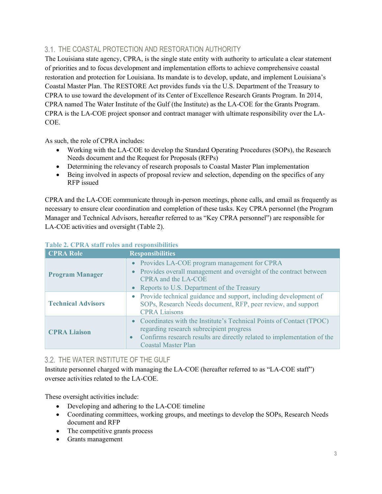#### 3.1. THE COASTAL PROTECTION AND RESTORATION AUTHORITY

The Louisiana state agency, CPRA, is the single state entity with authority to articulate a clear statement of priorities and to focus development and implementation efforts to achieve comprehensive coastal restoration and protection for Louisiana. Its mandate is to develop, update, and implement Louisiana's Coastal Master Plan. The RESTORE Act provides funds via the U.S. Department of the Treasury to CPRA to use toward the development of its Center of Excellence Research Grants Program. In 2014, CPRA named The Water Institute of the Gulf (the Institute) as the LA-COE for the Grants Program. CPRA is the LA-COE project sponsor and contract manager with ultimate responsibility over the LA-COE.

As such, the role of CPRA includes:

- Working with the LA-COE to develop the Standard Operating Procedures (SOPs), the Research Needs document and the Request for Proposals (RFPs)
- Determining the relevancy of research proposals to Coastal Master Plan implementation
- Being involved in aspects of proposal review and selection, depending on the specifics of any RFP issued

CPRA and the LA-COE communicate through in-person meetings, phone calls, and email as frequently as necessary to ensure clear coordination and completion of these tasks. Key CPRA personnel (the Program Manager and Technical Advisors, hereafter referred to as "Key CPRA personnel") are responsible for LA-COE activities and oversight [\(Table 2\)](#page-7-0).

| <b>CPRA Role</b>          | <b>Responsibilities</b>                                                                                                                                                                                                                 |
|---------------------------|-----------------------------------------------------------------------------------------------------------------------------------------------------------------------------------------------------------------------------------------|
| <b>Program Manager</b>    | • Provides LA-COE program management for CPRA<br>Provides overall management and oversight of the contract between<br>$\bullet$<br>CPRA and the LA-COE<br>• Reports to U.S. Department of the Treasury                                  |
| <b>Technical Advisors</b> | • Provide technical guidance and support, including development of<br>SOPs, Research Needs document, RFP, peer review, and support<br><b>CPRA Liaisons</b>                                                                              |
| <b>CPRA Liaison</b>       | • Coordinates with the Institute's Technical Points of Contact (TPOC)<br>regarding research subrecipient progress<br>Confirms research results are directly related to implementation of the<br>$\bullet$<br><b>Coastal Master Plan</b> |

#### <span id="page-7-0"></span>**Table 2. CPRA staff roles and responsibilities**

#### 3.2. THE WATER INSTITUTE OF THE GULF

Institute personnel charged with managing the LA-COE (hereafter referred to as "LA-COE staff") oversee activities related to the LA-COE.

These oversight activities include:

- Developing and adhering to the LA-COE timeline
- Coordinating committees, working groups, and meetings to develop the SOPs, Research Needs document and RFP
- The competitive grants process
- Grants management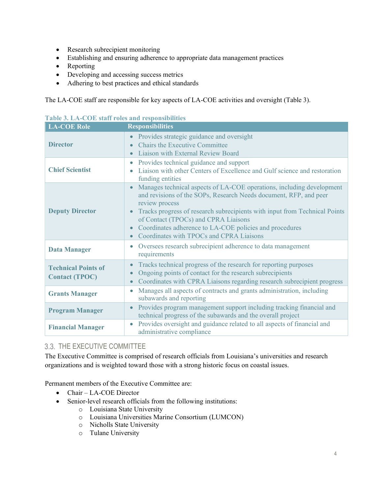- Research subrecipient monitoring
- Establishing and ensuring adherence to appropriate data management practices
- Reporting
- Developing and accessing success metrics
- Adhering to best practices and ethical standards

The LA-COE staff are responsible for key aspects of LA-COE activities and oversight [\(Table 3\)](#page-8-1).

| <b>LA-COE Role</b>                                  | <b>Responsibilities</b>                                                                                                                                                                                                                                                                                                                                                                                                                       |
|-----------------------------------------------------|-----------------------------------------------------------------------------------------------------------------------------------------------------------------------------------------------------------------------------------------------------------------------------------------------------------------------------------------------------------------------------------------------------------------------------------------------|
| <b>Director</b>                                     | Provides strategic guidance and oversight<br>$\bullet$<br><b>Chairs the Executive Committee</b><br>$\bullet$<br>Liaison with External Review Board<br>$\bullet$                                                                                                                                                                                                                                                                               |
| <b>Chief Scientist</b>                              | Provides technical guidance and support<br>$\bullet$<br>Liaison with other Centers of Excellence and Gulf science and restoration<br>funding entities                                                                                                                                                                                                                                                                                         |
| <b>Deputy Director</b>                              | Manages technical aspects of LA-COE operations, including development<br>$\bullet$<br>and revisions of the SOPs, Research Needs document, RFP, and peer<br>review process<br>Tracks progress of research subrecipients with input from Technical Points<br>$\bullet$<br>of Contact (TPOCs) and CPRA Liaisons<br>Coordinates adherence to LA-COE policies and procedures<br>$\bullet$<br>Coordinates with TPOCs and CPRA Liaisons<br>$\bullet$ |
| <b>Data Manager</b>                                 | Oversees research subrecipient adherence to data management<br>$\bullet$<br>requirements                                                                                                                                                                                                                                                                                                                                                      |
| <b>Technical Points of</b><br><b>Contact (TPOC)</b> | Tracks technical progress of the research for reporting purposes<br>$\bullet$<br>Ongoing points of contact for the research subrecipients<br>$\bullet$<br>Coordinates with CPRA Liaisons regarding research subrecipient progress<br>$\bullet$                                                                                                                                                                                                |
| <b>Grants Manager</b>                               | Manages all aspects of contracts and grants administration, including<br>$\bullet$<br>subawards and reporting                                                                                                                                                                                                                                                                                                                                 |
| <b>Program Manager</b>                              | Provides program management support including tracking financial and<br>$\bullet$<br>technical progress of the subawards and the overall project                                                                                                                                                                                                                                                                                              |
| <b>Financial Manager</b>                            | Provides oversight and guidance related to all aspects of financial and<br>$\bullet$<br>administrative compliance                                                                                                                                                                                                                                                                                                                             |

<span id="page-8-1"></span>**Table 3. LA-COE staff roles and responsibilities**

#### <span id="page-8-0"></span>3.3. THE EXECUTIVE COMMITTEE

The Executive Committee is comprised of research officials from Louisiana's universities and research organizations and is weighted toward those with a strong historic focus on coastal issues.

Permanent members of the Executive Committee are:

- Chair LA-COE Director
- Senior-level research officials from the following institutions:
	- o Louisiana State University
		- o Louisiana Universities Marine Consortium (LUMCON)
		- o Nicholls State University
		- o Tulane University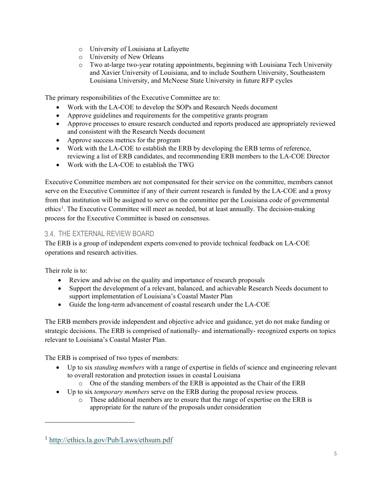- o University of Louisiana at Lafayette
- o University of New Orleans
- o Two at-large two-year rotating appointments, beginning with Louisiana Tech University and Xavier University of Louisiana, and to include Southern University, Southeastern Louisiana University, and McNeese State University in future RFP cycles

The primary responsibilities of the Executive Committee are to:

- Work with the LA-COE to develop the SOPs and Research Needs document
- Approve guidelines and requirements for the competitive grants program
- Approve processes to ensure research conducted and reports produced are appropriately reviewed and consistent with the Research Needs document
- Approve success metrics for the program
- Work with the LA-COE to establish the ERB by developing the ERB terms of reference, reviewing a list of ERB candidates, and recommending ERB members to the LA-COE Director
- Work with the LA-COE to establish the TWG

Executive Committee members are not compensated for their service on the committee, members cannot serve on the Executive Committee if any of their current research is funded by the LA-COE and a proxy from that institution will be assigned to serve on the committee per the Louisiana code of governmental ethics[1.](#page-9-1) The Executive Committee will meet as needed, but at least annually. The decision-making process for the Executive Committee is based on consensus.

#### <span id="page-9-0"></span>3.4. THE EXTERNAL REVIEW BOARD

The ERB is a group of independent experts convened to provide technical feedback on LA-COE operations and research activities.

Their role is to:

- Review and advise on the quality and importance of research proposals
- Support the development of a relevant, balanced, and achievable Research Needs document to support implementation of Louisiana's Coastal Master Plan
- Guide the long-term advancement of coastal research under the LA-COE

The ERB members provide independent and objective advice and guidance, yet do not make funding or strategic decisions. The ERB is comprised of nationally- and internationally- recognized experts on topics relevant to Louisiana's Coastal Master Plan.

The ERB is comprised of two types of members:

- Up to six *standing members* with a range of expertise in fields of science and engineering relevant to overall restoration and protection issues in coastal Louisiana
	- o One of the standing members of the ERB is appointed as the Chair of the ERB
- Up to six *temporary members* serve on the ERB during the proposal review process.
	- o These additional members are to ensure that the range of expertise on the ERB is appropriate for the nature of the proposals under consideration

<span id="page-9-1"></span><sup>1</sup> <http://ethics.la.gov/Pub/Laws/ethsum.pdf>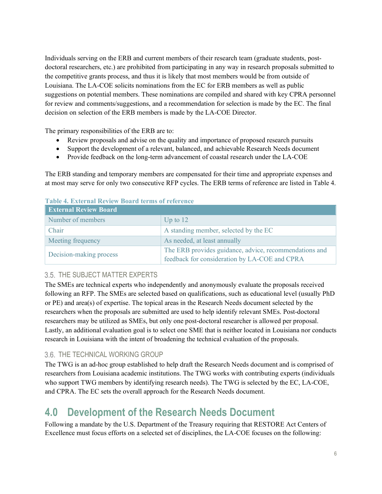Individuals serving on the ERB and current members of their research team (graduate students, postdoctoral researchers, etc.) are prohibited from participating in any way in research proposals submitted to the competitive grants process, and thus it is likely that most members would be from outside of Louisiana. The LA-COE solicits nominations from the EC for ERB members as well as public suggestions on potential members. These nominations are compiled and shared with key CPRA personnel for review and comments/suggestions, and a recommendation for selection is made by the EC. The final decision on selection of the ERB members is made by the LA-COE Director.

The primary responsibilities of the ERB are to:

- Review proposals and advise on the quality and importance of proposed research pursuits
- Support the development of a relevant, balanced, and achievable Research Needs document
- Provide feedback on the long-term advancement of coastal research under the LA-COE

The ERB standing and temporary members are compensated for their time and appropriate expenses and at most may serve for only two consecutive RFP cycles. The ERB terms of reference are listed in [Table 4.](#page-10-2)

| <b>External Review Board</b> |                                                        |  |
|------------------------------|--------------------------------------------------------|--|
| Number of members            | Up to $12$                                             |  |
| Chair                        | A standing member, selected by the EC                  |  |
| Meeting frequency            | As needed, at least annually                           |  |
| Decision-making process      | The ERB provides guidance, advice, recommendations and |  |
|                              | feedback for consideration by LA-COE and CPRA          |  |

#### <span id="page-10-2"></span>**Table 4. External Review Board terms of reference**

#### <span id="page-10-0"></span>3.5. THE SUBJECT MATTER EXPERTS

The SMEs are technical experts who independently and anonymously evaluate the proposals received following an RFP. The SMEs are selected based on qualifications, such as educational level (usually PhD or PE) and area(s) of expertise. The topical areas in the Research Needs document selected by the researchers when the proposals are submitted are used to help identify relevant SMEs. Post-doctoral researchers may be utilized as SMEs, but only one post-doctoral researcher is allowed per proposal. Lastly, an additional evaluation goal is to select one SME that is neither located in Louisiana nor conducts research in Louisiana with the intent of broadening the technical evaluation of the proposals.

#### <span id="page-10-1"></span>3.6. THE TECHNICAL WORKING GROUP

The TWG is an ad-hoc group established to help draft the Research Needs document and is comprised of researchers from Louisiana academic institutions. The TWG works with contributing experts (individuals who support TWG members by identifying research needs). The TWG is selected by the EC, LA-COE, and CPRA. The EC sets the overall approach for the Research Needs document.

### **4.0 Development of the Research Needs Document**

Following a mandate by the U.S. Department of the Treasury requiring that RESTORE Act Centers of Excellence must focus efforts on a selected set of disciplines, the LA-COE focuses on the following: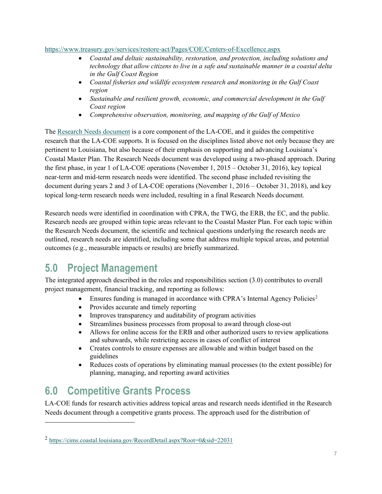#### <https://www.treasury.gov/services/restore-act/Pages/COE/Centers-of-Excellence.aspx>

- *Coastal and deltaic sustainability, restoration, and protection, including solutions and technology that allow citizens to live in a safe and sustainable manner in a coastal delta in the Gulf Coast Region*
- *Coastal fisheries and wildlife ecosystem research and monitoring in the Gulf Coast region*
- *Sustainable and resilient growth, economic, and commercial development in the Gulf Coast region*
- *Comprehensive observation, monitoring, and mapping of the Gulf of Mexico*

The [Research Needs document](https://thewaterinstitute.org/assets/docs/LA-COE-Research-needs.pdf) is a core component of the LA-COE, and it guides the competitive research that the LA-COE supports. It is focused on the disciplines listed above not only because they are pertinent to Louisiana, but also because of their emphasis on supporting and advancing Louisiana's Coastal Master Plan. The Research Needs document was developed using a two-phased approach. During the first phase, in year 1 of LA-COE operations (November 1, 2015 – October 31, 2016), key topical near-term and mid-term research needs were identified. The second phase included revisiting the document during years 2 and 3 of LA-COE operations (November 1, 2016 – October 31, 2018), and key topical long-term research needs were included, resulting in a final Research Needs document.

Research needs were identified in coordination with CPRA, the TWG, the ERB, the EC, and the public. Research needs are grouped within topic areas relevant to the Coastal Master Plan. For each topic within the Research Needs document, the scientific and technical questions underlying the research needs are outlined, research needs are identified, including some that address multiple topical areas, and potential outcomes (e.g., measurable impacts or results) are briefly summarized.

### **5.0 Project Management**

The integrated approach described in the roles and responsibilities section [\(3.0\)](#page-6-1) contributes to overall project management, financial tracking, and reporting as follows:

- Ensures funding is managed in accordance with [CPRA's Internal Agency Policies](https://cims.coastal.louisiana.gov/RecordDetail.aspx?Root=0&sid=22031)<sup>[2](#page-11-1)</sup>
- Provides accurate and timely reporting
- Improves transparency and auditability of program activities
- Streamlines business processes from proposal to award through close-out
- Allows for online access for the ERB and other authorized users to review applications and subawards, while restricting access in cases of conflict of interest
- Creates controls to ensure expenses are allowable and within budget based on the guidelines
- Reduces costs of operations by eliminating manual processes (to the extent possible) for planning, managing, and reporting award activities

### <span id="page-11-0"></span>**6.0 Competitive Grants Process**

LA-COE funds for research activities address topical areas and research needs identified in the Research Needs document through a competitive grants process. The approach used for the distribution of

<span id="page-11-1"></span><sup>2</sup> <https://cims.coastal.louisiana.gov/RecordDetail.aspx?Root=0&sid=22031>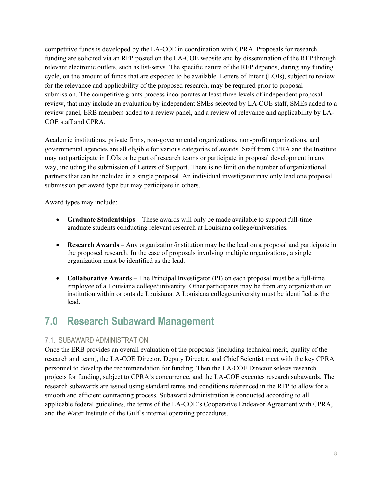competitive funds is developed by the LA-COE in coordination with CPRA. Proposals for research funding are solicited via an RFP posted on the LA-COE website and by dissemination of the RFP through relevant electronic outlets, such as list-servs. The specific nature of the RFP depends, during any funding cycle, on the amount of funds that are expected to be available. Letters of Intent (LOIs), subject to review for the relevance and applicability of the proposed research, may be required prior to proposal submission. The competitive grants process incorporates at least three levels of independent proposal review, that may include an evaluation by independent SMEs selected by LA-COE staff, SMEs added to a review panel, ERB members added to a review panel, and a review of relevance and applicability by LA-COE staff and CPRA.

Academic institutions, private firms, non-governmental organizations, non-profit organizations, and governmental agencies are all eligible for various categories of awards. Staff from CPRA and the Institute may not participate in LOIs or be part of research teams or participate in proposal development in any way, including the submission of Letters of Support. There is no limit on the number of organizational partners that can be included in a single proposal. An individual investigator may only lead one proposal submission per award type but may participate in others.

Award types may include:

- **Graduate Studentships** These awards will only be made available to support full-time graduate students conducting relevant research at Louisiana college/universities.
- **Research Awards** Any organization/institution may be the lead on a proposal and participate in the proposed research. In the case of proposals involving multiple organizations, a single organization must be identified as the lead.
- **Collaborative Awards** The Principal Investigator (PI) on each proposal must be a full-time employee of a Louisiana college/university. Other participants may be from any organization or institution within or outside Louisiana. A Louisiana college/university must be identified as the lead.

### **7.0 Research Subaward Management**

#### <span id="page-12-0"></span>7.1. SUBAWARD ADMINISTRATION

Once the ERB provides an overall evaluation of the proposals (including technical merit, quality of the research and team), the LA-COE Director, Deputy Director, and Chief Scientist meet with the key CPRA personnel to develop the recommendation for funding. Then the LA-COE Director selects research projects for funding, subject to CPRA's concurrence, and the LA-COE executes research subawards. The research subawards are issued using standard terms and conditions referenced in the RFP to allow for a smooth and efficient contracting process. Subaward administration is conducted according to all applicable federal guidelines, the terms of the LA-COE's Cooperative Endeavor Agreement with CPRA, and the Water Institute of the Gulf's internal operating procedures.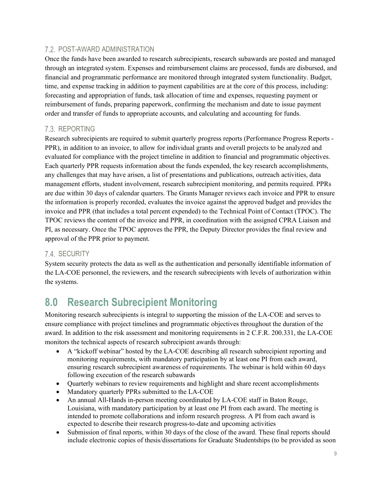#### 7.2. POST-AWARD ADMINISTRATION

Once the funds have been awarded to research subrecipients, research subawards are posted and managed through an integrated system. Expenses and reimbursement claims are processed, funds are disbursed, and financial and programmatic performance are monitored through integrated system functionality. Budget, time, and expense tracking in addition to payment capabilities are at the core of this process, including: forecasting and appropriation of funds, task allocation of time and expenses, requesting payment or reimbursement of funds, preparing paperwork, confirming the mechanism and date to issue payment order and transfer of funds to appropriate accounts, and calculating and accounting for funds.

#### 7.3. REPORTING

Research subrecipients are required to submit quarterly progress reports (Performance Progress Reports - PPR), in addition to an invoice, to allow for individual grants and overall projects to be analyzed and evaluated for compliance with the project timeline in addition to financial and programmatic objectives. Each quarterly PPR requests information about the funds expended, the key research accomplishments, any challenges that may have arisen, a list of presentations and publications, outreach activities, data management efforts, student involvement, research subrecipient monitoring, and permits required. PPRs are due within 30 days of calendar quarters. The Grants Manager reviews each invoice and PPR to ensure the information is properly recorded, evaluates the invoice against the approved budget and provides the invoice and PPR (that includes a total percent expended) to the Technical Point of Contact (TPOC). The TPOC reviews the content of the invoice and PPR, in coordination with the assigned CPRA Liaison and PI, as necessary. Once the TPOC approves the PPR, the Deputy Director provides the final review and approval of the PPR prior to payment.

#### 7.4. SECURITY

System security protects the data as well as the authentication and personally identifiable information of the LA-COE personnel, the reviewers, and the research subrecipients with levels of authorization within the systems.

### **8.0 Research Subrecipient Monitoring**

Monitoring research subrecipients is integral to supporting the mission of the LA-COE and serves to ensure compliance with project timelines and programmatic objectives throughout the duration of the award. In addition to the risk assessment and monitoring requirements in 2 C.F.R. 200.331, the LA-COE monitors the technical aspects of research subrecipient awards through:

- A "kickoff webinar" hosted by the LA-COE describing all research subrecipient reporting and monitoring requirements, with mandatory participation by at least one PI from each award, ensuring research subrecipient awareness of requirements. The webinar is held within 60 days following execution of the research subawards
- Quarterly webinars to review requirements and highlight and share recent accomplishments
- Mandatory quarterly PPRs submitted to the LA-COE
- An annual All-Hands in-person meeting coordinated by LA-COE staff in Baton Rouge, Louisiana, with mandatory participation by at least one PI from each award. The meeting is intended to promote collaborations and inform research progress. A PI from each award is expected to describe their research progress-to-date and upcoming activities
- Submission of final reports, within 30 days of the close of the award. These final reports should include electronic copies of thesis/dissertations for Graduate Studentships (to be provided as soon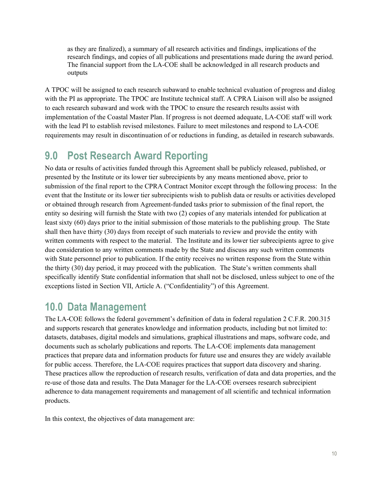as they are finalized), a summary of all research activities and findings, implications of the research findings, and copies of all publications and presentations made during the award period. The financial support from the LA-COE shall be acknowledged in all research products and outputs

A TPOC will be assigned to each research subaward to enable technical evaluation of progress and dialog with the PI as appropriate. The TPOC are Institute technical staff. A CPRA Liaison will also be assigned to each research subaward and work with the TPOC to ensure the research results assist with implementation of the Coastal Master Plan. If progress is not deemed adequate, LA-COE staff will work with the lead PI to establish revised milestones. Failure to meet milestones and respond to LA-COE requirements may result in discontinuation of or reductions in funding, as detailed in research subawards.

### <span id="page-14-0"></span>**9.0 Post Research Award Reporting**

No data or results of activities funded through this Agreement shall be publicly released, published, or presented by the Institute or its lower tier subrecipients by any means mentioned above, prior to submission of the final report to the CPRA Contract Monitor except through the following process: In the event that the Institute or its lower tier subrecipients wish to publish data or results or activities developed or obtained through research from Agreement-funded tasks prior to submission of the final report, the entity so desiring will furnish the State with two (2) copies of any materials intended for publication at least sixty (60) days prior to the initial submission of those materials to the publishing group. The State shall then have thirty (30) days from receipt of such materials to review and provide the entity with written comments with respect to the material. The Institute and its lower tier subrecipients agree to give due consideration to any written comments made by the State and discuss any such written comments with State personnel prior to publication. If the entity receives no written response from the State within the thirty (30) day period, it may proceed with the publication. The State's written comments shall specifically identify State confidential information that shall not be disclosed, unless subject to one of the exceptions listed in Section VII, Article A. ("Confidentiality") of this Agreement.

### <span id="page-14-1"></span>**10.0 Data Management**

The LA-COE follows the federal government's definition of data in federal regulation 2 C.F.R. 200.315 and supports research that generates knowledge and information products, including but not limited to: datasets, databases, digital models and simulations, graphical illustrations and maps, software code, and documents such as scholarly publications and reports. The LA-COE implements data management practices that prepare data and information products for future use and ensures they are widely available for public access. Therefore, the LA-COE requires practices that support data discovery and sharing. These practices allow the reproduction of research results, verification of data and data properties, and the re-use of those data and results. The Data Manager for the LA-COE oversees research subrecipient adherence to data management requirements and management of all scientific and technical information products.

In this context, the objectives of data management are: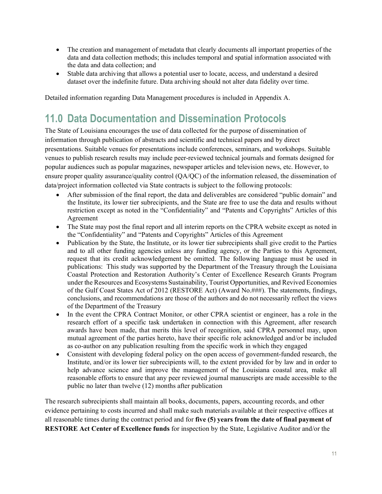- The creation and management of metadata that clearly documents all important properties of the data and data collection methods; this includes temporal and spatial information associated with the data and data collection; and
- Stable data archiving that allows a potential user to locate, access, and understand a desired dataset over the indefinite future. Data archiving should not alter data fidelity over time.

Detailed information regarding Data Management procedures is included in Appendix A.

### **11.0 Data Documentation and Dissemination Protocols**

The State of Louisiana encourages the use of data collected for the purpose of dissemination of information through publication of abstracts and scientific and technical papers and by direct presentations. Suitable venues for presentations include conferences, seminars, and workshops. Suitable venues to publish research results may include peer-reviewed technical journals and formats designed for popular audiences such as popular magazines, newspaper articles and television news, etc. However, to ensure proper quality assurance/quality control (QA/QC) of the information released, the dissemination of data/project information collected via State contracts is subject to the following protocols:

- After submission of the final report, the data and deliverables are considered "public domain" and the Institute, its lower tier subrecipients, and the State are free to use the data and results without restriction except as noted in the "Confidentiality" and "Patents and Copyrights" Articles of this Agreement
- The State may post the final report and all interim reports on the CPRA website except as noted in the "Confidentiality" and "Patents and Copyrights" Articles of this Agreement
- Publication by the State, the Institute, or its lower tier subrecipients shall give credit to the Parties and to all other funding agencies unless any funding agency, or the Parties to this Agreement, request that its credit acknowledgement be omitted. The following language must be used in publications: This study was supported by the Department of the Treasury through the Louisiana Coastal Protection and Restoration Authority's Center of Excellence Research Grants Program under the Resources and Ecosystems Sustainability, Tourist Opportunities, and Revived Economies of the Gulf Coast States Act of 2012 (RESTORE Act) (Award No.###). The statements, findings, conclusions, and recommendations are those of the authors and do not necessarily reflect the views of the Department of the Treasury
- In the event the CPRA Contract Monitor, or other CPRA scientist or engineer, has a role in the research effort of a specific task undertaken in connection with this Agreement, after research awards have been made, that merits this level of recognition, said CPRA personnel may, upon mutual agreement of the parties hereto, have their specific role acknowledged and/or be included as co-author on any publication resulting from the specific work in which they engaged
- Consistent with developing federal policy on the open access of government-funded research, the Institute, and/or its lower tier subrecipients will, to the extent provided for by law and in order to help advance science and improve the management of the Louisiana coastal area, make all reasonable efforts to ensure that any peer reviewed journal manuscripts are made accessible to the public no later than twelve (12) months after publication

The research subrecipients shall maintain all books, documents, papers, accounting records, and other evidence pertaining to costs incurred and shall make such materials available at their respective offices at all reasonable times during the contract period and for **five (5) years from the date of final payment of RESTORE Act Center of Excellence funds** for inspection by the State, Legislative Auditor and/or the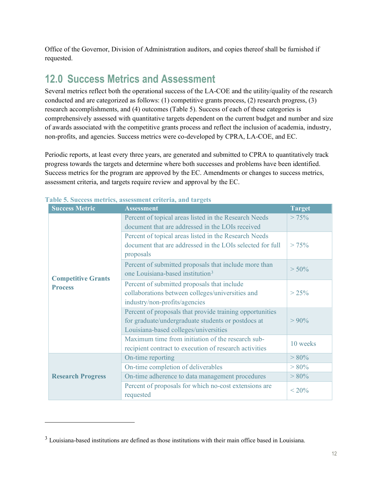Office of the Governor, Division of Administration auditors, and copies thereof shall be furnished if requested.

### <span id="page-16-0"></span>**12.0 Success Metrics and Assessment**

Several metrics reflect both the operational success of the LA-COE and the utility/quality of the research conducted and are categorized as follows: (1) competitive grants process, (2) research progress, (3) research accomplishments, and (4) outcomes (Table 5). Success of each of these categories is comprehensively assessed with quantitative targets dependent on the current budget and number and size of awards associated with the competitive grants process and reflect the inclusion of academia, industry, non-profits, and agencies. Success metrics were co-developed by CPRA, LA-COE, and EC.

Periodic reports, at least every three years, are generated and submitted to CPRA to quantitatively track progress towards the targets and determine where both successes and problems have been identified. Success metrics for the program are approved by the EC. Amendments or changes to success metrics, assessment criteria, and targets require review and approval by the EC.

| <b>Success Metric</b>     | C. DRUCCO, HIGHTCH, RODGODHIGHTCH, CLIVELING MILM VALL CON<br><b>Assessment</b>                       | <b>Target</b> |
|---------------------------|-------------------------------------------------------------------------------------------------------|---------------|
|                           | Percent of topical areas listed in the Research Needs                                                 | $> 75\%$      |
|                           | document that are addressed in the LOIs received                                                      |               |
|                           | Percent of topical areas listed in the Research Needs                                                 |               |
|                           | document that are addressed in the LOIs selected for full<br>proposals                                | > 75%         |
| <b>Competitive Grants</b> | Percent of submitted proposals that include more than<br>one Louisiana-based institution <sup>3</sup> | $> 50\%$      |
| <b>Process</b>            | Percent of submitted proposals that include                                                           |               |
|                           | collaborations between colleges/universities and                                                      | $> 25\%$      |
|                           | industry/non-profits/agencies                                                                         |               |
|                           | Percent of proposals that provide training opportunities                                              |               |
|                           | for graduate/undergraduate students or postdocs at                                                    | $> 90\%$      |
|                           | Louisiana-based colleges/universities                                                                 |               |
|                           | Maximum time from initiation of the research sub-                                                     | 10 weeks      |
|                           | recipient contract to execution of research activities                                                |               |
|                           | On-time reporting                                                                                     | $> 80\%$      |
|                           | On-time completion of deliverables                                                                    | $> 80\%$      |
| <b>Research Progress</b>  | On-time adherence to data management procedures                                                       | $> 80\%$      |
|                           | Percent of proposals for which no-cost extensions are<br>requested                                    | $< 20\%$      |

#### **Table 5. Success metrics, assessment criteria, and targets**

<span id="page-16-1"></span><sup>&</sup>lt;sup>3</sup> Louisiana-based institutions are defined as those institutions with their main office based in Louisiana.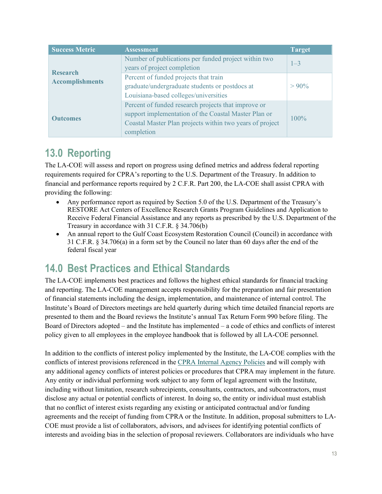| <b>Success Metric</b>  | <b>Assessment</b>                                                                                                                                                                     | <b>Target</b> |
|------------------------|---------------------------------------------------------------------------------------------------------------------------------------------------------------------------------------|---------------|
| <b>Research</b>        | Number of publications per funded project within two<br>years of project completion                                                                                                   | $1 - 3$       |
| <b>Accomplishments</b> | Percent of funded projects that train<br>graduate/undergraduate students or postdocs at<br>Louisiana-based colleges/universities                                                      | $>90\%$       |
| <b>Outcomes</b>        | Percent of funded research projects that improve or<br>support implementation of the Coastal Master Plan or<br>Coastal Master Plan projects within two years of project<br>completion | $100\%$       |

### **13.0 Reporting**

The LA-COE will assess and report on progress using defined metrics and address federal reporting requirements required for CPRA's reporting to the U.S. Department of the Treasury. In addition to financial and performance reports required by 2 C.F.R. Part 200, the LA-COE shall assist CPRA with providing the following:

- Any performance report as required by Section 5.0 of the U.S. Department of the Treasury's RESTORE Act Centers of Excellence Research Grants Program Guidelines and Application to Receive Federal Financial Assistance and any reports as prescribed by the U.S. Department of the Treasury in accordance with 31 C.F.R. § 34.706(b)
- An annual report to the Gulf Coast Ecosystem Restoration Council (Council) in accordance with 31 C.F.R. § 34.706(a) in a form set by the Council no later than 60 days after the end of the federal fiscal year

### <span id="page-17-0"></span>**14.0 Best Practices and Ethical Standards**

The LA-COE implements best practices and follows the highest ethical standards for financial tracking and reporting. The LA-COE management accepts responsibility for the preparation and fair presentation of financial statements including the design, implementation, and maintenance of internal control. The Institute's Board of Directors meetings are held quarterly during which time detailed financial reports are presented to them and the Board reviews the Institute's annual Tax Return Form 990 before filing. The Board of Directors adopted – and the Institute has implemented – a code of ethics and conflicts of interest policy given to all employees in the employee handbook that is followed by all LA-COE personnel.

In addition to the conflicts of interest policy implemented by the Institute, the LA-COE complies with the conflicts of interest provisions referenced in the [CPRA Internal Agency Policies](https://cims.coastal.louisiana.gov/RecordDetail.aspx?Root=0&sid=22031) and will comply with any additional agency conflicts of interest policies or procedures that CPRA may implement in the future. Any entity or individual performing work subject to any form of legal agreement with the Institute, including without limitation, research subrecipients, consultants, contractors, and subcontractors, must disclose any actual or potential conflicts of interest. In doing so, the entity or individual must establish that no conflict of interest exists regarding any existing or anticipated contractual and/or funding agreements and the receipt of funding from CPRA or the Institute. In addition, proposal submitters to LA-COE must provide a list of collaborators, advisors, and advisees for identifying potential conflicts of interests and avoiding bias in the selection of proposal reviewers. Collaborators are individuals who have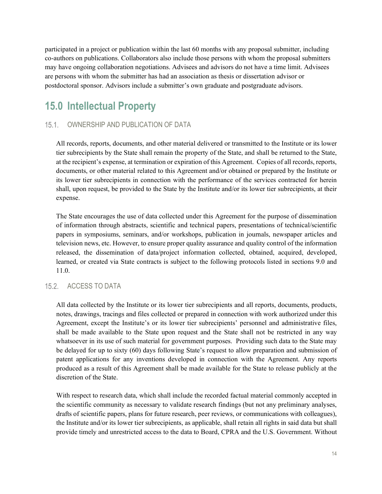participated in a project or publication within the last 60 months with any proposal submitter, including co-authors on publications. Collaborators also include those persons with whom the proposal submitters may have ongoing collaboration negotiations. Advisees and advisors do not have a time limit. Advisees are persons with whom the submitter has had an association as thesis or dissertation advisor or postdoctoral sponsor. Advisors include a submitter's own graduate and postgraduate advisors.

### <span id="page-18-0"></span>**15.0 Intellectual Property**

#### 15.1. OWNERSHIP AND PUBLICATION OF DATA

All records, reports, documents, and other material delivered or transmitted to the Institute or its lower tier subrecipients by the State shall remain the property of the State, and shall be returned to the State, at the recipient's expense, at termination or expiration of this Agreement. Copies of all records, reports, documents, or other material related to this Agreement and/or obtained or prepared by the Institute or its lower tier subrecipients in connection with the performance of the services contracted for herein shall, upon request, be provided to the State by the Institute and/or its lower tier subrecipients, at their expense.

The State encourages the use of data collected under this Agreement for the purpose of dissemination of information through abstracts, scientific and technical papers, presentations of technical/scientific papers in symposiums, seminars, and/or workshops, publication in journals, newspaper articles and television news, etc. However, to ensure proper quality assurance and quality control of the information released, the dissemination of data/project information collected, obtained, acquired, developed, learned, or created via State contracts is subject to the following protocols listed in sections 9.0 and 11.0.

#### ACCESS TO DATA

All data collected by the Institute or its lower tier subrecipients and all reports, documents, products, notes, drawings, tracings and files collected or prepared in connection with work authorized under this Agreement, except the Institute's or its lower tier subrecipients' personnel and administrative files, shall be made available to the State upon request and the State shall not be restricted in any way whatsoever in its use of such material for government purposes. Providing such data to the State may be delayed for up to sixty (60) days following State's request to allow preparation and submission of patent applications for any inventions developed in connection with the Agreement. Any reports produced as a result of this Agreement shall be made available for the State to release publicly at the discretion of the State.

With respect to research data, which shall include the recorded factual material commonly accepted in the scientific community as necessary to validate research findings (but not any preliminary analyses, drafts of scientific papers, plans for future research, peer reviews, or communications with colleagues), the Institute and/or its lower tier subrecipients, as applicable, shall retain all rights in said data but shall provide timely and unrestricted access to the data to Board, CPRA and the U.S. Government. Without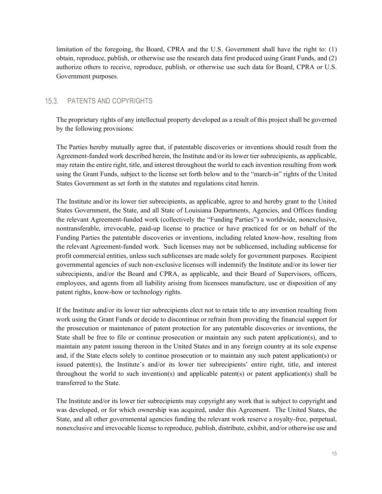limitation of the foregoing, the Board, CPRA and the U.S. Government shall have the right to: (1) obtain, reproduce, publish, or otherwise use the research data first produced using Grant Funds, and (2) authorize others to receive, reproduce, publish, or otherwise use such data for Board, CPRA or U.S. Government purposes.

#### $15.3.$ PATENTS AND COPYRIGHTS

The proprietary rights of any intellectual property developed as a result of this project shall be governed by the following provisions:

The Parties hereby mutually agree that, if patentable discoveries or inventions should result from the Agreement-funded work described herein, the Institute and/or its lower tier subrecipients, as applicable, may retain the entire right, title, and interest throughout the world to each invention resulting from work using the Grant Funds, subject to the license set forth below and to the "march-in" rights of the United States Government as set forth in the statutes and regulations cited herein.

The Institute and/or its lower tier subrecipients, as applicable, agree to and hereby grant to the United States Government, the State, and all State of Louisiana Departments, Agencies, and Offices funding the relevant Agreement-funded work (collectively the "Funding Parties") a worldwide, nonexclusive, nontransferable, irrevocable, paid-up license to practice or have practiced for or on behalf of the Funding Parties the patentable discoveries or inventions, including related know-how, resulting from the relevant Agreement-funded work. Such licenses may not be sublicensed, including sublicense for profit commercial entities, unless such sublicenses are made solely for government purposes. Recipient governmental agencies of such non-exclusive licenses will indemnify the Institute and/or its lower tier subrecipients, and/or the Board and CPRA, as applicable, and their Board of Supervisors, officers, employees, and agents from all liability arising from licensees manufacture, use or disposition of any patent rights, know-how or technology rights.

If the Institute and/or its lower tier subrecipients elect not to retain title to any invention resulting from work using the Grant Funds or decide to discontinue or refrain from providing the financial support for the prosecution or maintenance of patent protection for any patentable discoveries or inventions, the State shall be free to file or continue prosecution or maintain any such patent application(s), and to maintain any patent issuing thereon in the United States and in any foreign country at its sole expense and, if the State elects solely to continue prosecution or to maintain any such patent application(s) or issued patent(s), the Institute's and/or its lower tier subrecipients' entire right, title, and interest throughout the world to such invention(s) and applicable patent(s) or patent application(s) shall be transferred to the State.

The Institute and/or its lower tier subrecipients may copyright any work that is subject to copyright and was developed, or for which ownership was acquired, under this Agreement. The United States, the State, and all other governmental agencies funding the relevant work reserve a royalty-free, perpetual, nonexclusive and irrevocable license to reproduce, publish, distribute, exhibit, and/or otherwise use and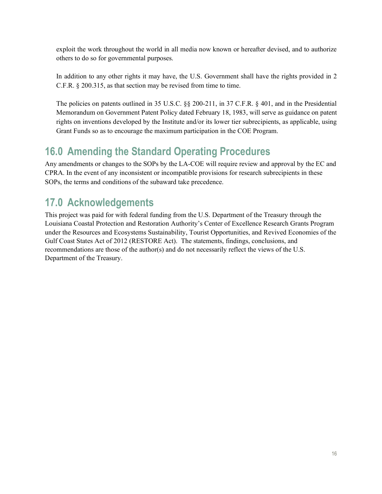exploit the work throughout the world in all media now known or hereafter devised, and to authorize others to do so for governmental purposes.

In addition to any other rights it may have, the U.S. Government shall have the rights provided in 2 C.F.R. § 200.315, as that section may be revised from time to time.

The policies on patents outlined in 35 U.S.C. §§ 200-211, in 37 C.F.R. § 401, and in the Presidential Memorandum on Government Patent Policy dated February 18, 1983, will serve as guidance on patent rights on inventions developed by the Institute and/or its lower tier subrecipients, as applicable, using Grant Funds so as to encourage the maximum participation in the COE Program.

### **16.0 Amending the Standard Operating Procedures**

Any amendments or changes to the SOPs by the LA-COE will require review and approval by the EC and CPRA. In the event of any inconsistent or incompatible provisions for research subrecipients in these SOPs, the terms and conditions of the subaward take precedence.

### <span id="page-20-0"></span>**17.0 Acknowledgements**

This project was paid for with federal funding from the U.S. Department of the Treasury through the Louisiana Coastal Protection and Restoration Authority's Center of Excellence Research Grants Program under the Resources and Ecosystems Sustainability, Tourist Opportunities, and Revived Economies of the Gulf Coast States Act of 2012 (RESTORE Act). The statements, findings, conclusions, and recommendations are those of the author(s) and do not necessarily reflect the views of the U.S. Department of the Treasury.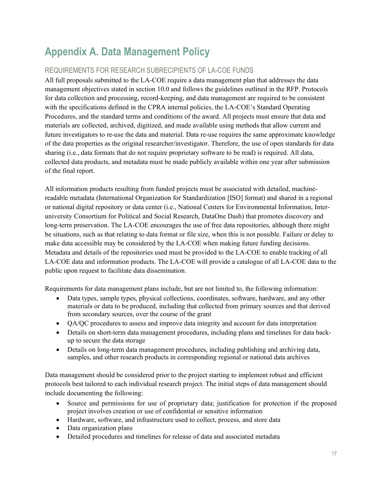### <span id="page-21-0"></span>**Appendix A. Data Management Policy**

### REQUIREMENTS FOR RESEARCH SUBRECIPIENTS OF LA-COE FUNDS

All full proposals submitted to the LA-COE require a data management plan that addresses the data management objectives stated in section [10.0](#page-14-1) and follows the guidelines outlined in the RFP. Protocols for data collection and processing, record-keeping, and data management are required to be consistent with the specifications defined in the CPRA internal policies, the LA-COE's Standard Operating Procedures, and the standard terms and conditions of the award. All projects must ensure that data and materials are collected, archived, digitized, and made available using methods that allow current and future investigators to re-use the data and material. Data re-use requires the same approximate knowledge of the data properties as the original researcher/investigator. Therefore, the use of open standards for data sharing (i.e., data formats that do not require proprietary software to be read) is required. All data, collected data products, and metadata must be made publicly available within one year after submission of the final report.

All information products resulting from funded projects must be associated with detailed, machinereadable metadata (International Organization for Standardization [ISO] format) and shared in a regional or national digital repository or data center (i.e., National Centers for Environmental Information, Interuniversity Consortium for Political and Social Research, DataOne Dash) that promotes discovery and long-term preservation. The LA-COE encourages the use of free data repositories, although there might be situations, such as that relating to data format or file size, when this is not possible. Failure or delay to make data accessible may be considered by the LA-COE when making future funding decisions. Metadata and details of the repositories used must be provided to the LA-COE to enable tracking of all LA-COE data and information products. The LA-COE will provide a catalogue of all LA-COE data to the public upon request to facilitate data dissemination.

Requirements for data management plans include, but are not limited to, the following information:

- Data types, sample types, physical collections, coordinates, software, hardware, and any other materials or data to be produced, including that collected from primary sources and that derived from secondary sources, over the course of the grant
- QA/QC procedures to assess and improve data integrity and account for data interpretation
- Details on short-term data management procedures, including plans and timelines for data backup to secure the data storage
- Details on long-term data management procedures, including publishing and archiving data, samples, and other research products in corresponding regional or national data archives

Data management should be considered prior to the project starting to implement robust and efficient protocols best tailored to each individual research project. The initial steps of data management should include documenting the following:

- Source and permissions for use of proprietary data; justification for protection if the proposed project involves creation or use of confidential or sensitive information
- Hardware, software, and infrastructure used to collect, process, and store data
- Data organization plans
- Detailed procedures and timelines for release of data and associated metadata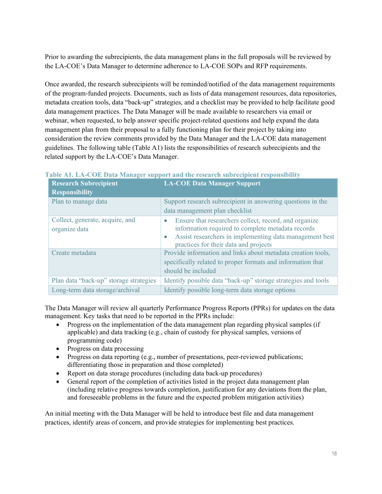Prior to awarding the subrecipients, the data management plans in the full proposals will be reviewed by the LA-COE's Data Manager to determine adherence to LA-COE SOPs and RFP requirements.

Once awarded, the research subrecipients will be reminded/notified of the data management requirements of the program-funded projects. Documents, such as lists of data management resources, data repositories, metadata creation tools, data "back-up" strategies, and a checklist may be provided to help facilitate good data management practices. The Data Manager will be made available to researchers via email or webinar, when requested, to help answer specific project-related questions and help expand the data management plan from their proposal to a fully functioning plan for their project by taking into consideration the review comments provided by the Data Manager and the LA-COE data management guidelines. The following table (Table A1) lists the responsibilities of research subrecipients and the related support by the LA-COE's Data Manager.

|  | <b>Research Subrecipient</b><br><b>Responsibility</b> | <b>LA-COE Data Manager Support</b>                                                                                                                                                                                                       |
|--|-------------------------------------------------------|------------------------------------------------------------------------------------------------------------------------------------------------------------------------------------------------------------------------------------------|
|  | Plan to manage data                                   | Support research subrecipient in answering questions in the<br>data management plan checklist                                                                                                                                            |
|  | Collect, generate, acquire, and<br>organize data      | Ensure that researchers collect, record, and organize<br>$\bullet$<br>information required to complete metadata records<br>Assist researchers in implementing data management best<br>$\bullet$<br>practices for their data and projects |
|  | Create metadata                                       | Provide information and links about metadata creation tools,<br>specifically related to proper formats and information that<br>should be included                                                                                        |
|  | Plan data "back-up" storage strategies                | Identify possible data "back-up" storage strategies and tools                                                                                                                                                                            |
|  | Long-term data storage/archival                       | Identify possible long-term data storage options                                                                                                                                                                                         |

The Data Manager will review all quarterly Performance Progress Reports (PPRs) for updates on the data management. Key tasks that need to be reported in the PPRs include:

- Progress on the implementation of the data management plan regarding physical samples (if applicable) and data tracking (e.g., chain of custody for physical samples, versions of programming code)
- Progress on data processing
- Progress on data reporting (e.g., number of presentations, peer-reviewed publications; differentiating those in preparation and those completed)
- Report on data storage procedures (including data back-up procedures)
- General report of the completion of activities listed in the project data management plan (including relative progress towards completion, justification for any deviations from the plan, and foreseeable problems in the future and the expected problem mitigation activities)

An initial meeting with the Data Manager will be held to introduce best file and data management practices, identify areas of concern, and provide strategies for implementing best practices.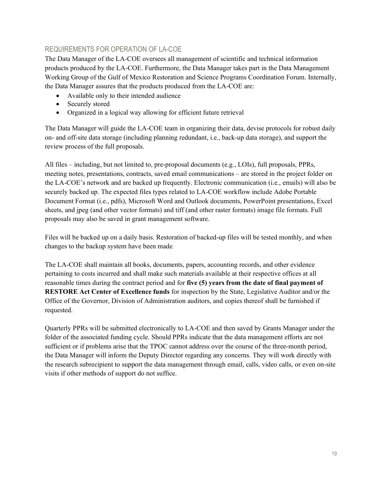#### REQUIREMENTS FOR OPERATION OF LA-COE

The Data Manager of the LA-COE oversees all management of scientific and technical information products produced by the LA-COE. Furthermore, the Data Manager takes part in the Data Management Working Group of the Gulf of Mexico Restoration and Science Programs Coordination Forum. Internally, the Data Manager assures that the products produced from the LA-COE are:

- Available only to their intended audience
- Securely stored
- Organized in a logical way allowing for efficient future retrieval

The Data Manager will guide the LA-COE team in organizing their data, devise protocols for robust daily on- and off-site data storage (including planning redundant, i.e., back-up data storage), and support the review process of the full proposals.

All files – including, but not limited to, pre-proposal documents (e.g., LOIs), full proposals, PPRs, meeting notes, presentations, contracts, saved email communications – are stored in the project folder on the LA-COE's network and are backed up frequently. Electronic communication (i.e., emails) will also be securely backed up. The expected files types related to LA-COE workflow include Adobe Portable Document Format (i.e., pdfs), Microsoft Word and Outlook documents, PowerPoint presentations, Excel sheets, and jpeg (and other vector formats) and tiff (and other raster formats) image file formats. Full proposals may also be saved in grant management software.

Files will be backed up on a daily basis. Restoration of backed-up files will be tested monthly, and when changes to the backup system have been made.

The LA-COE shall maintain all books, documents, papers, accounting records, and other evidence pertaining to costs incurred and shall make such materials available at their respective offices at all reasonable times during the contract period and for **five (5) years from the date of final payment of RESTORE Act Center of Excellence funds** for inspection by the State, Legislative Auditor and/or the Office of the Governor, Division of Administration auditors, and copies thereof shall be furnished if requested.

Quarterly PPRs will be submitted electronically to LA-COE and then saved by Grants Manager under the folder of the associated funding cycle. Should PPRs indicate that the data management efforts are not sufficient or if problems arise that the TPOC cannot address over the course of the three-month period, the Data Manager will inform the Deputy Director regarding any concerns. They will work directly with the research subrecipient to support the data management through email, calls, video calls, or even on-site visits if other methods of support do not suffice.